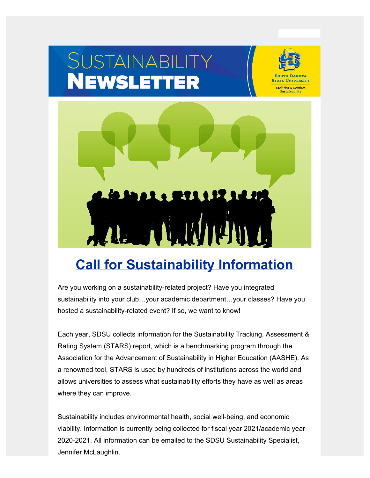# SUSTAINABILITY<br>NEWSLETTER



**STATE UNIVERSITY** Facilities & Services **Sustainability** 



# **[Call for Sustainability Information](https://www.sdstate.edu/news/2022/02/call-sustainability-information?utm_source=hs_email&utm_medium=email&_hsenc=p2ANqtz-8bNXcKyy7vUttK5Cx8dtsYX1gVqtgeGWAautYcYOiBqkcqkV-J2ugP4bXXt6XNd8vGoFnB)**

Are you working on a sustainability-related project? Have you integrated sustainability into your club…your academic department…your classes? Have you hosted a sustainability-related event? If so, we want to know!

Each year, SDSU collects information for the Sustainability Tracking, Assessment & Rating System (STARS) report, which is a benchmarking program through the Association for the Advancement of Sustainability in Higher Education (AASHE). As a renowned tool, STARS is used by hundreds of institutions across the world and allows universities to assess what sustainability efforts they have as well as areas where they can improve.

Sustainability includes environmental health, social well-being, and economic viability. Information is currently being collected for fiscal year 2021/academic year 2020-2021. All information can be emailed to the SDSU Sustainability Specialist, Jennifer McLaughlin.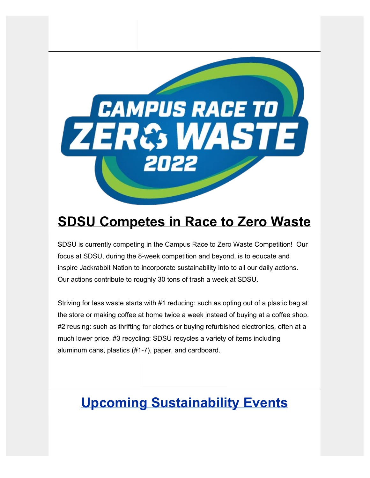

## **[SDSU Competes in Race to Zero Waste](https://www.sdstate.edu/sustainability/recycling?utm_source=hs_email&utm_medium=email&_hsenc=p2ANqtz-8bNXcKyy7vUttK5Cx8dtsYX1gVqtgeGWAautYcYOiBqkcqkV-J2ugP4bXXt6XNd8vGoFnB)**

SDSU is currently competing in the Campus Race to Zero Waste Competition! Our focus at SDSU, during the 8-week competition and beyond, is to educate and inspire Jackrabbit Nation to incorporate sustainability into to all our daily actions. Our actions contribute to roughly 30 tons of trash a week at SDSU.

Striving for less waste starts with #1 reducing: such as opting out of a plastic bag at the store or making coffee at home twice a week instead of buying at a coffee shop. #2 reusing: such as thrifting for clothes or buying refurbished electronics, often at a much lower price. #3 recycling: SDSU recycles a variety of items including aluminum cans, plastics (#1-7), paper, and cardboard.

# **Upcoming Sustainability Events**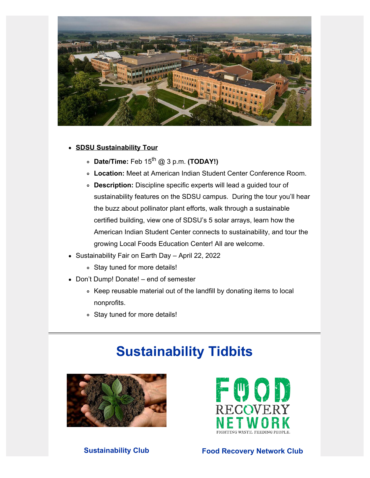

### **[SDSU Sustainability Tour](https://www.sdstate.edu/miller-wellness-center/warrior-wellness-week?utm_source=hs_email&utm_medium=email&_hsenc=p2ANqtz-8bNXcKyy7vUttK5Cx8dtsYX1gVqtgeGWAautYcYOiBqkcqkV-J2ugP4bXXt6XNd8vGoFnB)**

- **Date/Time:** Feb 15th @ 3 p.m. **(TODAY!)**
- **Location:** Meet at American Indian Student Center Conference Room.
- **Description:** Discipline specific experts will lead a guided tour of sustainability features on the SDSU campus. During the tour you'll hear the buzz about pollinator plant efforts, walk through a sustainable certified building, view one of SDSU's 5 solar arrays, learn how the American Indian Student Center connects to sustainability, and tour the growing Local Foods Education Center! All are welcome.
- Sustainability Fair on Earth Day April 22, 2022
	- Stay tuned for more details!
- Don't Dump! Donate! end of semester
	- Keep reusable material out of the landfill by donating items to local nonprofits.
	- Stay tuned for more details!

# **Sustainability Tidbits**





**Sustainability Club Food Recovery Network Club**